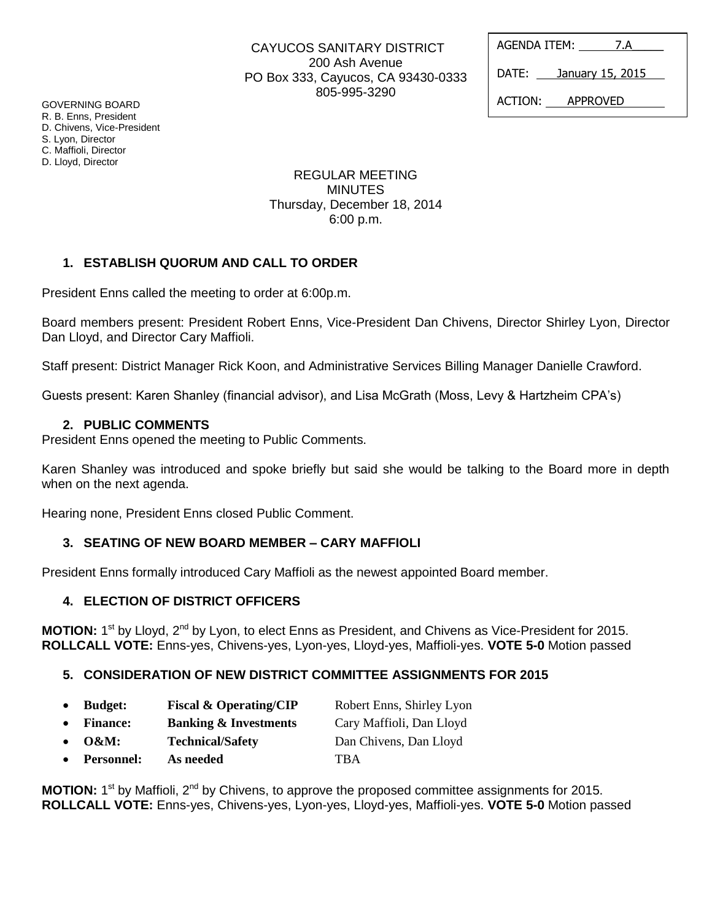| CAYUCOS SANITARY DISTRICT          |
|------------------------------------|
| 200 Ash Avenue                     |
| PO Box 333, Cayucos, CA 93430-0333 |
| 805-995-3290                       |

AGENDA ITEM: 7.A DATE: January 15, 2015 ACTION: APPROVED

GOVERNING BOARD R. B. Enns, President D. Chivens, Vice-President S. Lyon, Director C. Maffioli, Director D. Lloyd, Director

## REGULAR MEETING MINUTES Thursday, December 18, 2014 6:00 p.m.

# **1. ESTABLISH QUORUM AND CALL TO ORDER**

President Enns called the meeting to order at 6:00p.m.

Board members present: President Robert Enns, Vice-President Dan Chivens, Director Shirley Lyon, Director Dan Lloyd, and Director Cary Maffioli.

Staff present: District Manager Rick Koon, and Administrative Services Billing Manager Danielle Crawford.

Guests present: Karen Shanley (financial advisor), and Lisa McGrath (Moss, Levy & Hartzheim CPA's)

#### **2. PUBLIC COMMENTS**

President Enns opened the meeting to Public Comments.

Karen Shanley was introduced and spoke briefly but said she would be talking to the Board more in depth when on the next agenda.

Hearing none, President Enns closed Public Comment.

## **3. SEATING OF NEW BOARD MEMBER – CARY MAFFIOLI**

President Enns formally introduced Cary Maffioli as the newest appointed Board member.

## **4. ELECTION OF DISTRICT OFFICERS**

MOTION: 1<sup>st</sup> by Lloyd, 2<sup>nd</sup> by Lyon, to elect Enns as President, and Chivens as Vice-President for 2015. **ROLLCALL VOTE:** Enns-yes, Chivens-yes, Lyon-yes, Lloyd-yes, Maffioli-yes. **VOTE 5-0** Motion passed

## **5. CONSIDERATION OF NEW DISTRICT COMMITTEE ASSIGNMENTS FOR 2015**

- **Budget: Fiscal & Operating/CIP** Robert Enns, Shirley Lyon
- **Finance: Banking & Investments** Cary Maffioli, Dan Lloyd
- **O&M: Technical/Safety** Dan Chivens, Dan Lloyd
- **Personnel: As needed** TBA

**MOTION:** 1<sup>st</sup> by Maffioli, 2<sup>nd</sup> by Chivens, to approve the proposed committee assignments for 2015. **ROLLCALL VOTE:** Enns-yes, Chivens-yes, Lyon-yes, Lloyd-yes, Maffioli-yes. **VOTE 5-0** Motion passed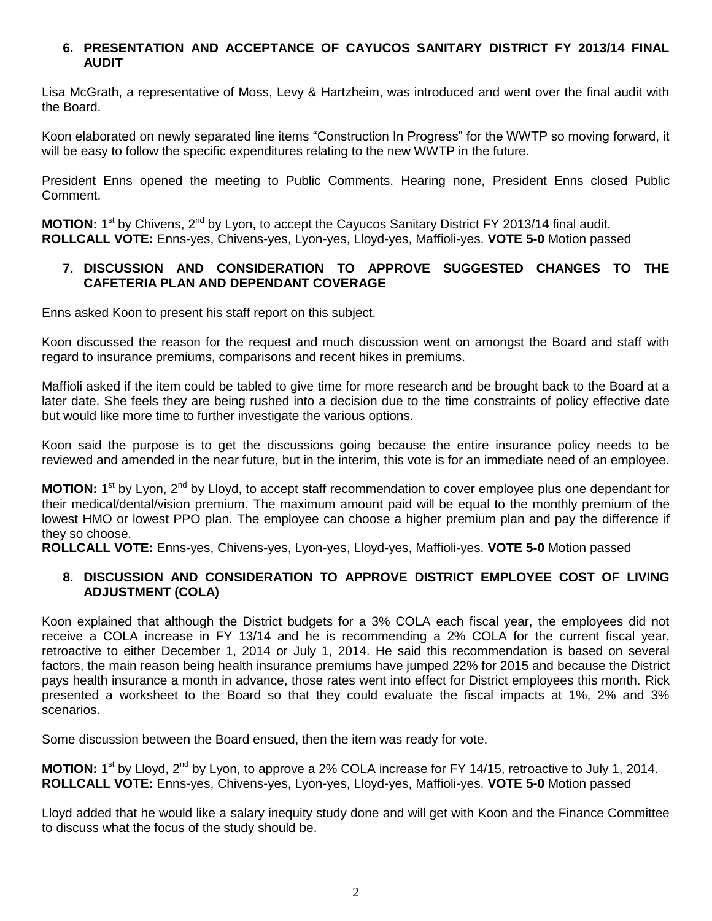## **6. PRESENTATION AND ACCEPTANCE OF CAYUCOS SANITARY DISTRICT FY 2013/14 FINAL AUDIT**

Lisa McGrath, a representative of Moss, Levy & Hartzheim, was introduced and went over the final audit with the Board.

Koon elaborated on newly separated line items "Construction In Progress" for the WWTP so moving forward, it will be easy to follow the specific expenditures relating to the new WWTP in the future.

President Enns opened the meeting to Public Comments. Hearing none, President Enns closed Public Comment.

**MOTION:** 1<sup>st</sup> by Chivens, 2<sup>nd</sup> by Lyon, to accept the Cayucos Sanitary District FY 2013/14 final audit. **ROLLCALL VOTE:** Enns-yes, Chivens-yes, Lyon-yes, Lloyd-yes, Maffioli-yes. **VOTE 5-0** Motion passed

## **7. DISCUSSION AND CONSIDERATION TO APPROVE SUGGESTED CHANGES TO THE CAFETERIA PLAN AND DEPENDANT COVERAGE**

Enns asked Koon to present his staff report on this subject.

Koon discussed the reason for the request and much discussion went on amongst the Board and staff with regard to insurance premiums, comparisons and recent hikes in premiums.

Maffioli asked if the item could be tabled to give time for more research and be brought back to the Board at a later date. She feels they are being rushed into a decision due to the time constraints of policy effective date but would like more time to further investigate the various options.

Koon said the purpose is to get the discussions going because the entire insurance policy needs to be reviewed and amended in the near future, but in the interim, this vote is for an immediate need of an employee.

MOTION: 1<sup>st</sup> by Lyon, 2<sup>nd</sup> by Lloyd, to accept staff recommendation to cover employee plus one dependant for their medical/dental/vision premium. The maximum amount paid will be equal to the monthly premium of the lowest HMO or lowest PPO plan. The employee can choose a higher premium plan and pay the difference if they so choose.

**ROLLCALL VOTE:** Enns-yes, Chivens-yes, Lyon-yes, Lloyd-yes, Maffioli-yes. **VOTE 5-0** Motion passed

## **8. DISCUSSION AND CONSIDERATION TO APPROVE DISTRICT EMPLOYEE COST OF LIVING ADJUSTMENT (COLA)**

Koon explained that although the District budgets for a 3% COLA each fiscal year, the employees did not receive a COLA increase in FY 13/14 and he is recommending a 2% COLA for the current fiscal year, retroactive to either December 1, 2014 or July 1, 2014. He said this recommendation is based on several factors, the main reason being health insurance premiums have jumped 22% for 2015 and because the District pays health insurance a month in advance, those rates went into effect for District employees this month. Rick presented a worksheet to the Board so that they could evaluate the fiscal impacts at 1%, 2% and 3% scenarios.

Some discussion between the Board ensued, then the item was ready for vote.

MOTION: 1<sup>st</sup> by Lloyd, 2<sup>nd</sup> by Lyon, to approve a 2% COLA increase for FY 14/15, retroactive to July 1, 2014. **ROLLCALL VOTE:** Enns-yes, Chivens-yes, Lyon-yes, Lloyd-yes, Maffioli-yes. **VOTE 5-0** Motion passed

Lloyd added that he would like a salary inequity study done and will get with Koon and the Finance Committee to discuss what the focus of the study should be.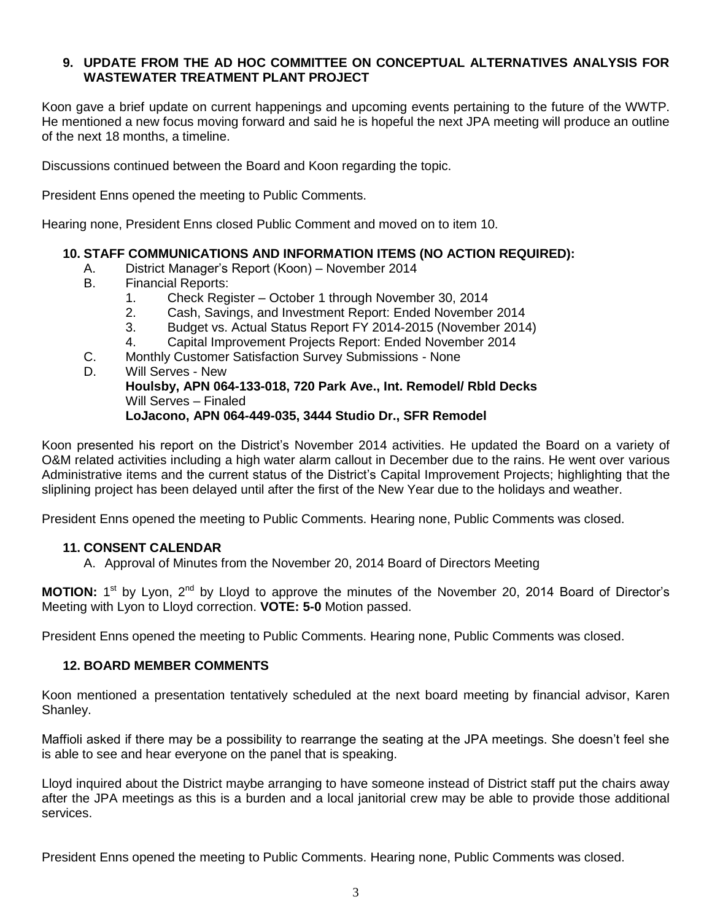## **9. UPDATE FROM THE AD HOC COMMITTEE ON CONCEPTUAL ALTERNATIVES ANALYSIS FOR WASTEWATER TREATMENT PLANT PROJECT**

Koon gave a brief update on current happenings and upcoming events pertaining to the future of the WWTP. He mentioned a new focus moving forward and said he is hopeful the next JPA meeting will produce an outline of the next 18 months, a timeline.

Discussions continued between the Board and Koon regarding the topic.

President Enns opened the meeting to Public Comments.

Hearing none, President Enns closed Public Comment and moved on to item 10.

## **10. STAFF COMMUNICATIONS AND INFORMATION ITEMS (NO ACTION REQUIRED):**

- A. District Manager's Report (Koon) November 2014
- B. Financial Reports:
	- 1. Check Register October 1 through November 30, 2014
	- 2. Cash, Savings, and Investment Report: Ended November 2014
	- 3. Budget vs. Actual Status Report FY 2014-2015 (November 2014)
	- 4. Capital Improvement Projects Report: Ended November 2014
- C. Monthly Customer Satisfaction Survey Submissions None
- D. Will Serves New **Houlsby, APN 064-133-018, 720 Park Ave., Int. Remodel/ Rbld Decks** Will Serves – Finaled **LoJacono, APN 064-449-035, 3444 Studio Dr., SFR Remodel**

Koon presented his report on the District's November 2014 activities. He updated the Board on a variety of O&M related activities including a high water alarm callout in December due to the rains. He went over various Administrative items and the current status of the District's Capital Improvement Projects; highlighting that the sliplining project has been delayed until after the first of the New Year due to the holidays and weather.

President Enns opened the meeting to Public Comments. Hearing none, Public Comments was closed.

## **11. CONSENT CALENDAR**

A. Approval of Minutes from the November 20, 2014 Board of Directors Meeting

**MOTION:** 1<sup>st</sup> by Lyon, 2<sup>nd</sup> by Lloyd to approve the minutes of the November 20, 2014 Board of Director's Meeting with Lyon to Lloyd correction. **VOTE: 5-0** Motion passed.

President Enns opened the meeting to Public Comments. Hearing none, Public Comments was closed.

#### **12. BOARD MEMBER COMMENTS**

Koon mentioned a presentation tentatively scheduled at the next board meeting by financial advisor, Karen Shanley.

Maffioli asked if there may be a possibility to rearrange the seating at the JPA meetings. She doesn't feel she is able to see and hear everyone on the panel that is speaking.

Lloyd inquired about the District maybe arranging to have someone instead of District staff put the chairs away after the JPA meetings as this is a burden and a local janitorial crew may be able to provide those additional services.

President Enns opened the meeting to Public Comments. Hearing none, Public Comments was closed.